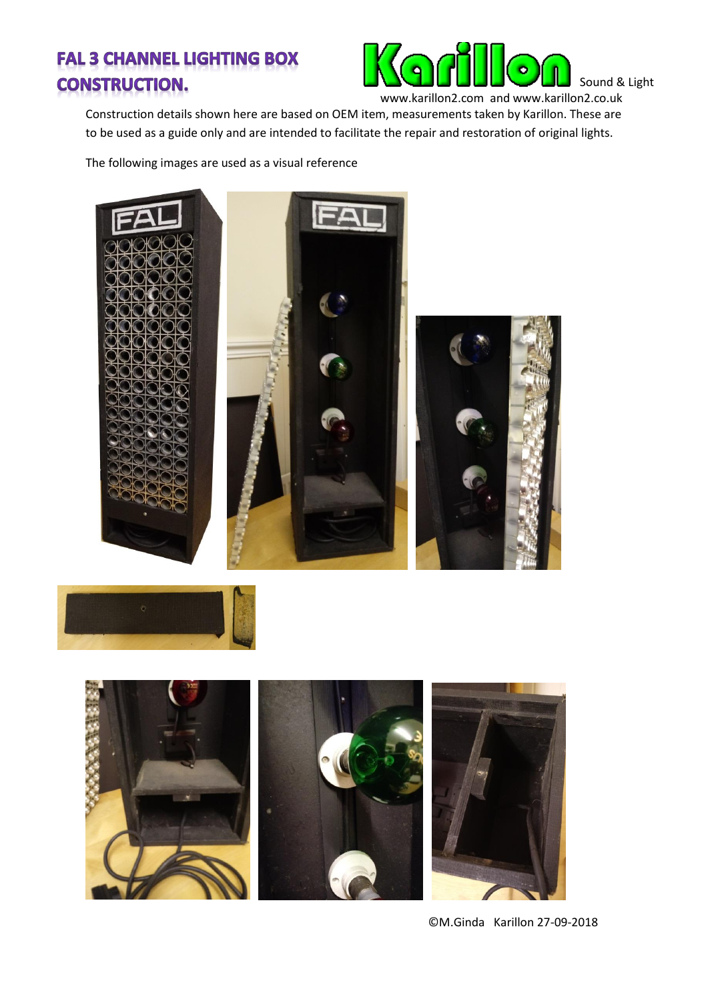## **FAL 3 CHANNEL LIGHTING BOX CONSTRUCTION.**



Construction details shown here are based on OEM item, measurements taken by Karillon. These are to be used as a guide only and are intended to facilitate the repair and restoration of original lights.

The following images are used as a visual reference







©M.Ginda Karillon 27-09-2018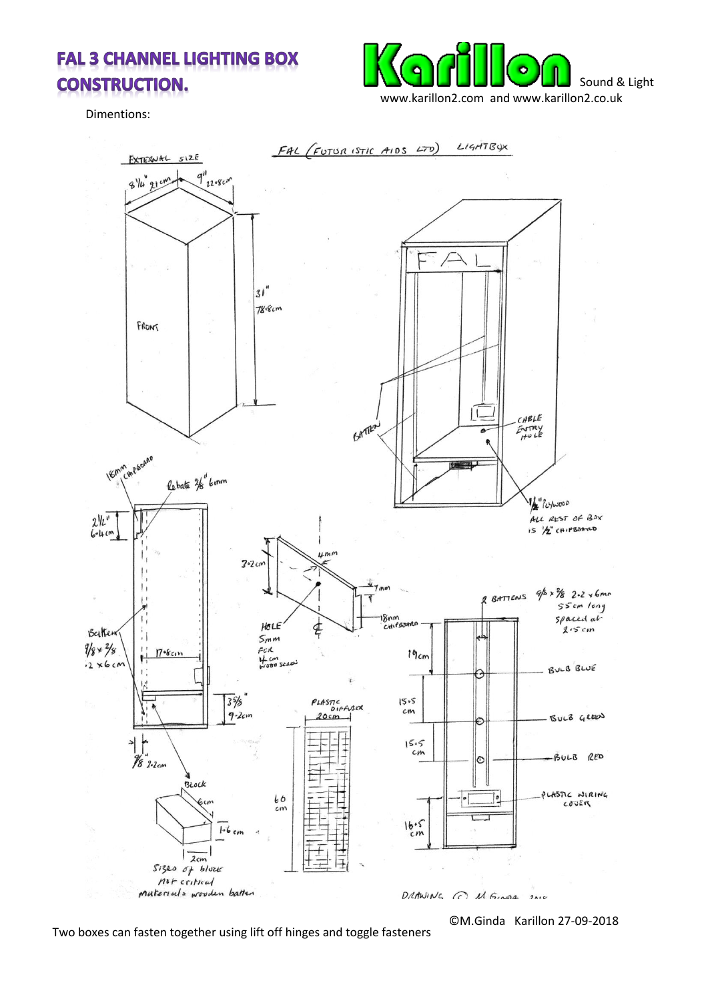## **FAL 3 CHANNEL LIGHTING BOX CONSTRUCTION.**



Dimentions:



Two boxes can fasten together using lift off hinges and toggle fasteners

©M.Ginda Karillon 27-09-2018